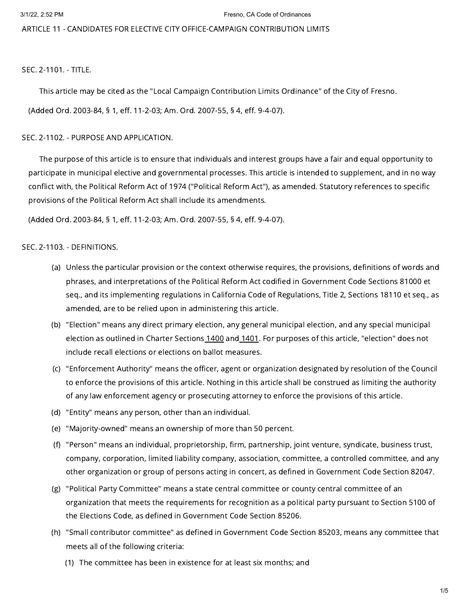ARTICLE 11 - CANDIDATES FOR ELECTIVE CITY OFFICE-CAMPAIGN CONTRIBUTION LIMITS

SEC. 2-1101. - TITLE.

This article may be cited as the "Local Campaign Contribution Limits Ordinance" of the City of Fresno.

(Added Ord. 2003-84, § 1, eff. 11-2-03; Am. Ord. 2007-55, § 4, eff. 9-4-07).

SEC. 2-1102. - PURPOSE AND APPLICATION.

The purpose of this article is to ensure that individuals and interest groups have a fair and equal opportunity to participate in municipal elective and governmental processes. This article is intended to supplement, and in no way conflict with, the Political Reform Act of 1974 ("Political Reform Act"), as amended. Statutory references to specific provisions of the Political Reform Act shall include its amendments.

(Added Ord. 2003-84, § 1, eff. 11-2-03; Am. Ord. 2007-55, § 4, eff. 9-4-07).

### SEC. 2-1103. - DEFINITIONS.

- (a) Unless the particular provision or the context otherwise requires, the provisions, definitions of words and phrases, and interpretations of the Political Reform Act codified in Government Code Sections 81000 et seq., and its implementing regulations in California Code of Regulations, Title 2, Sections 18110 et seq., as amended, are to be relied upon in administering this article.
- (b) "Election" means any direct primary election, any general municipal election, and any special municipal election as outlined in Charter Sections [1400](https://library.municode.com/) and [1401](https://library.municode.com/). For purposes of this article, "election" does not include recall elections or elections on ballot measures.
- (c) "Enforcement Authority" means the officer, agent or organization designated by resolution of the Council to enforce the provisions of this article. Nothing in this article shall be construed as limiting the authority of any law enforcement agency or prosecuting attorney to enforce the provisions of this article.
- (d) "Entity" means any person, other than an individual.
- (e) "Majority-owned" means an ownership of more than 50 percent.
- (f) "Person" means an individual, proprietorship, firm, partnership, joint venture, syndicate, business trust, company, corporation, limited liability company, association, committee, a controlled committee, and any other organization or group of persons acting in concert, as defined in Government Code Section 82047.
- (g) "Political Party Committee" means a state central committee or county central committee of an organization that meets the requirements for recognition as a political party pursuant to Section 5100 of the Elections Code, as defined in Government Code Section 85206.
- (h) "Small contributor committee" as defined in Government Code Section 85203, means any committee that meets all of the following criteria:
	- (1) The committee has been in existence for at least six months; and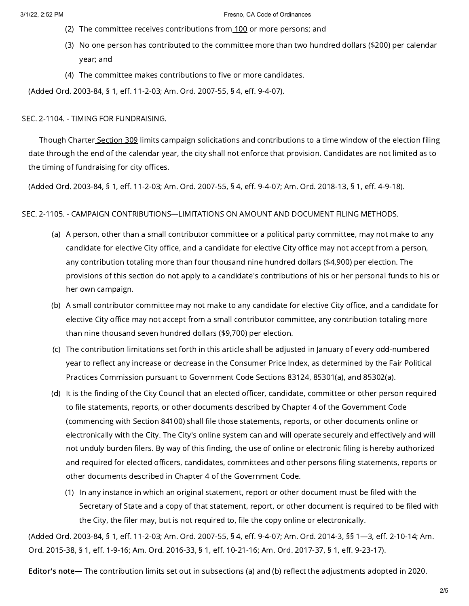- (2) The committee receives contributions from<u>\_[100](https://library.municode.com/)</u> or more persons; and
- (3) No one person has contributed to the committee more than two hundred dollars (\$200) per calendar year; and
- (4) The committee makes contributions to five or more candidates.

(Added Ord. 2003-84, § 1, eff. 11-2-03; Am. Ord. 2007-55, § 4, eff. 9-4-07).

SEC. 2-1104. - TIMING FOR FUNDRAISING.

Though Charter [Section](https://library.municode.com/) 309 limits campaign solicitations and contributions to a time window of the election filing date through the end of the calendar year, the city shall not enforce that provision. Candidates are not limited as to the timing of fundraising for city offices.

(Added Ord. 2003-84, § 1, eff. 11-2-03; Am. Ord. 2007-55, § 4, eff. 9-4-07; Am. Ord. 2018-13, § 1, eff. 4-9-18).

SEC. 2-1105. - CAMPAIGN CONTRIBUTIONS—LIMITATIONS ON AMOUNT AND DOCUMENT FILING METHODS.

- (a) A person, other than a small contributor committee or a political party committee, may not make to any candidate for elective City office, and a candidate for elective City office may not accept from a person, any contribution totaling more than four thousand nine hundred dollars (\$4,900) per election. The provisions of this section do not apply to a candidate's contributions of his or her personal funds to his or her own campaign.
- (b) A small contributor committee may not make to any candidate for elective City office, and a candidate for elective City office may not accept from a small contributor committee, any contribution totaling more than nine thousand seven hundred dollars (\$9,700) per election.
- (c) The contribution limitations set forth in this article shall be adjusted in January of every odd-numbered year to reflect any increase or decrease in the Consumer Price Index, as determined by the Fair Political Practices Commission pursuant to Government Code Sections 83124, 85301(a), and 85302(a).
- (d) It is the finding of the City Council that an elected officer, candidate, committee or other person required to file statements, reports, or other documents described by Chapter 4 of the Government Code (commencing with Section 84100) shall file those statements, reports, or other documents online or electronically with the City. The City's online system can and will operate securely and effectively and will not unduly burden filers. By way of this finding, the use of online or electronic filing is hereby authorized and required for elected officers, candidates, committees and other persons filing statements, reports or other documents described in Chapter 4 of the Government Code.
	- (1) In any instance in which an original statement, report or other document must be filed with the Secretary of State and a copy of that statement, report, or other document is required to be filed with the City, the filer may, but is not required to, file the copy online or electronically.

(Added Ord. 2003-84, § 1, eff. 11-2-03; Am. Ord. 2007-55, § 4, eff. 9-4-07; Am. Ord. 2014-3, §§ 1—3, eff. 2-10-14; Am. Ord. 2015-38, § 1, eff. 1-9-16; Am. Ord. 2016-33, § 1, eff. 10-21-16; Am. Ord. 2017-37, § 1, eff. 9-23-17).

Editor's note— The contribution limits set out in subsections (a) and (b) reflect the adjustments adopted in 2020.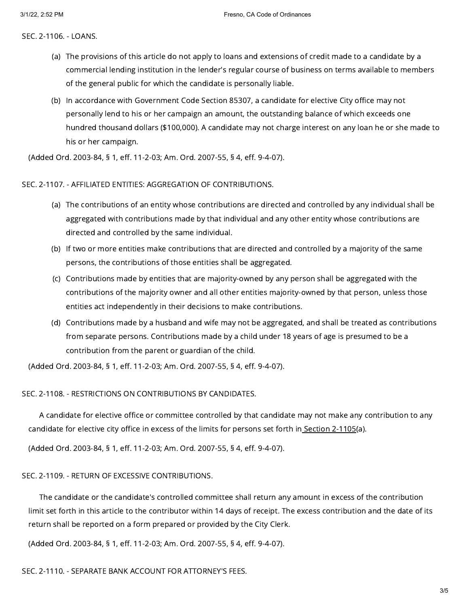SEC. 2-1106. - LOANS.

- (a) The provisions of this article do not apply to loans and extensions of credit made to a candidate by a commercial lending institution in the lender's regular course of business on terms available to members of the general public for which the candidate is personally liable.
- (b) In accordance with Government Code Section 85307, a candidate for elective City office may not personally lend to his or her campaign an amount, the outstanding balance of which exceeds one hundred thousand dollars (\$100,000). A candidate may not charge interest on any loan he or she made to his or her campaign.

(Added Ord. 2003-84, § 1, eff. 11-2-03; Am. Ord. 2007-55, § 4, eff. 9-4-07).

## SEC. 2-1107. - AFFILIATED ENTITIES: AGGREGATION OF CONTRIBUTIONS.

- (a) The contributions of an entity whose contributions are directed and controlled by any individual shall be aggregated with contributions made by that individual and any other entity whose contributions are directed and controlled by the same individual.
- (b) If two or more entities make contributions that are directed and controlled by a majority of the same persons, the contributions of those entities shall be aggregated.
- (c) Contributions made by entities that are majority-owned by any person shall be aggregated with the contributions of the majority owner and all other entities majority-owned by that person, unless those entities act independently in their decisions to make contributions.
- (d) Contributions made by a husband and wife may not be aggregated, and shall be treated as contributions from separate persons. Contributions made by a child under 18 years of age is presumed to be a contribution from the parent or guardian of the child.

(Added Ord. 2003-84, § 1, eff. 11-2-03; Am. Ord. 2007-55, § 4, eff. 9-4-07).

# SEC. 2-1108. - RESTRICTIONS ON CONTRIBUTIONS BY CANDIDATES.

A candidate for elective office or committee controlled by that candidate may not make any contribution to any candidate for elective city office in excess of the limits for persons set forth in [Section](https://library.municode.com/) 2-1105(a).

(Added Ord. 2003-84, § 1, eff. 11-2-03; Am. Ord. 2007-55, § 4, eff. 9-4-07).

# SEC. 2-1109. - RETURN OF EXCESSIVE CONTRIBUTIONS.

The candidate or the candidate's controlled committee shall return any amount in excess of the contribution limit set forth in this article to the contributor within 14 days of receipt. The excess contribution and the date of its return shall be reported on a form prepared or provided by the City Clerk.

(Added Ord. 2003-84, § 1, eff. 11-2-03; Am. Ord. 2007-55, § 4, eff. 9-4-07).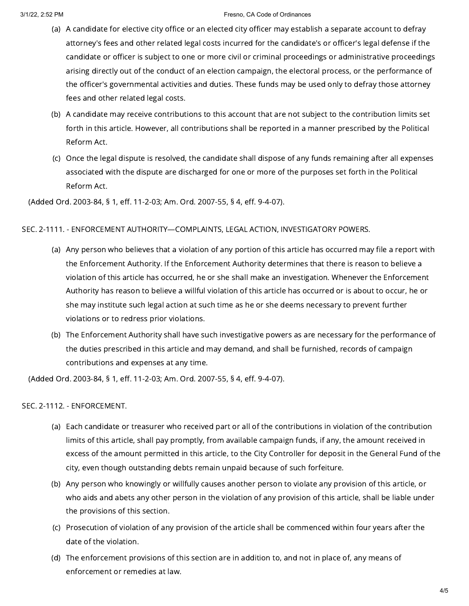#### 3/1/22, 2:52 PM Fresno, CA Code of Ordinances

- (a) A candidate for elective city office or an elected city officer may establish a separate account to defray attorney's fees and other related legal costs incurred for the candidate's or officer's legal defense if the candidate or officer is subject to one or more civil or criminal proceedings or administrative proceedings arising directly out of the conduct of an election campaign, the electoral process, or the performance of the officer's governmental activities and duties. These funds may be used only to defray those attorney fees and other related legal costs.
- (b) A candidate may receive contributions to this account that are not subject to the contribution limits set forth in this article. However, all contributions shall be reported in a manner prescribed by the Political Reform Act.
- (c) Once the legal dispute is resolved, the candidate shall dispose of any funds remaining after all expenses associated with the dispute are discharged for one or more of the purposes set forth in the Political Reform Act.

(Added Ord. 2003-84, § 1, eff. 11-2-03; Am. Ord. 2007-55, § 4, eff. 9-4-07).

## SEC. 2-1111. - ENFORCEMENT AUTHORITY—COMPLAINTS, LEGAL ACTION, INVESTIGATORY POWERS.

- (a) Any person who believes that a violation of any portion of this article has occurred may file a report with the Enforcement Authority. If the Enforcement Authority determines that there is reason to believe a violation of this article has occurred, he or she shall make an investigation. Whenever the Enforcement Authority has reason to believe a willful violation of this article has occurred or is about to occur, he or she may institute such legal action at such time as he or she deems necessary to prevent further violations or to redress prior violations.
- (b) The Enforcement Authority shall have such investigative powers as are necessary for the performance of the duties prescribed in this article and may demand, and shall be furnished, records of campaign contributions and expenses at any time.

(Added Ord. 2003-84, § 1, eff. 11-2-03; Am. Ord. 2007-55, § 4, eff. 9-4-07).

### SEC. 2-1112. - ENFORCEMENT.

- (a) Each candidate or treasurer who received part or all of the contributions in violation of the contribution limits of this article, shall pay promptly, from available campaign funds, if any, the amount received in excess of the amount permitted in this article, to the City Controller for deposit in the General Fund of the city, even though outstanding debts remain unpaid because of such forfeiture.
- (b) Any person who knowingly or willfully causes another person to violate any provision of this article, or who aids and abets any other person in the violation of any provision of this article, shall be liable under the provisions of this section.
- (c) Prosecution of violation of any provision of the article shall be commenced within four years after the date of the violation.
- (d) The enforcement provisions of this section are in addition to, and not in place of, any means of enforcement or remedies at law.